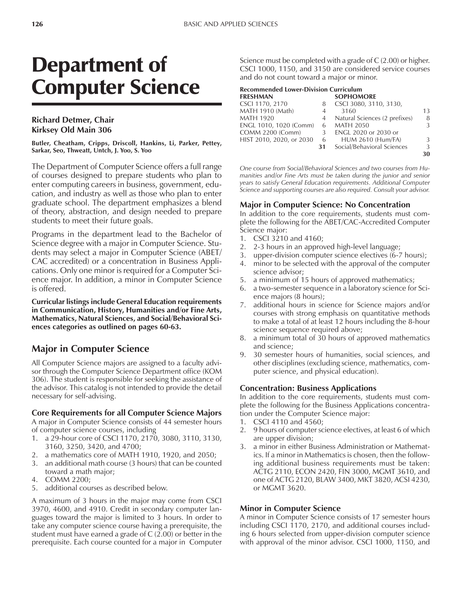# Department of Computer Science

## **Richard Detmer, Chair Kirksey Old Main 306**

**Butler, Cheatham, Cripps, Driscoll, Hankins, Li, Parker, Pettey, Sarkar, Seo, Thweatt, Untch, J. Yoo, S. Yoo**

The Department of Computer Science offers a full range of courses designed to prepare students who plan to enter computing careers in business, government, education, and industry as well as those who plan to enter graduate school. The department emphasizes a blend of theory, abstraction, and design needed to prepare students to meet their future goals.

Programs in the department lead to the Bachelor of Science degree with a major in Computer Science. Students may select a major in Computer Science (ABET/ CAC accredited) or a concentration in Business Applications. Only one minor is required for a Computer Science major. In addition, a minor in Computer Science is offered.

**Curricular listings include General Education requirements in Communication, History, Humanities and/or Fine Arts, Mathematics, Natural Sciences, and Social/Behavioral Sciences categories as outlined on pages 60-63.**

# **Major in Computer Science**

All Computer Science majors are assigned to a faculty advisor through the Computer Science Department office (KOM 306). The student is responsible for seeking the assistance of the advisor. This catalog is not intended to provide the detail necessary for self-advising.

## **Core Requirements for all Computer Science Majors**

A major in Computer Science consists of 44 semester hours of computer science courses, including

- 1. a 29-hour core of CSCI 1170, 2170, 3080, 3110, 3130, 3160, 3250, 3420, and 4700;
- 2. a mathematics core of MATH 1910, 1920, and 2050;
- 3. an additional math course (3 hours) that can be counted toward a math major;
- 4. COMM 2200;
- 5. additional courses as described below.

A maximum of 3 hours in the major may come from CSCI 3970, 4600, and 4910. Credit in secondary computer languages toward the major is limited to 3 hours. In order to take any computer science course having a prerequisite, the student must have earned a grade of C (2.00) or better in the prerequisite. Each course counted for a major in Computer

Science must be completed with a grade of C (2.00) or higher. CSCI 1000, 1150, and 3150 are considered service courses and do not count toward a major or minor.

#### **Recommended Lower-Division Curriculum**

| <b>FRESHMAN</b>          |    | <b>SOPHOMORE</b>              |    |
|--------------------------|----|-------------------------------|----|
| CSCI 1170, 2170          | 8  | CSCI 3080, 3110, 3130,        |    |
| MATH 1910 (Math)         | 4  | 3160                          | 13 |
| <b>MATH 1920</b>         | 4  | Natural Sciences (2 prefixes) | 8  |
| ENGL 1010, 1020 (Comm)   | 6  | <b>MATH 2050</b>              | 3  |
| <b>COMM 2200 (Comm)</b>  | 3  | ENGL 2020 or 2030 or          |    |
| HIST 2010, 2020, or 2030 | 6  | <b>HUM 2610 (Hum/FA)</b>      | 3  |
|                          | 31 | Social/Behavioral Sciences    | 3  |
|                          |    |                               | 30 |
|                          |    |                               |    |

*One course from Social/Behavioral Sciences and two courses from Humanities and/or Fine Arts must be taken during the junior and senior years to satisfy General Education requirements. Additional Computer Science and supporting courses are also required. Consult your advisor.*

#### **Major in Computer Science: No Concentration**

In addition to the core requirements, students must complete the following for the ABET/CAC-Accredited Computer Science major:

- 1. CSCI 3210 and 4160;
- 2. 2-3 hours in an approved high-level language;
- 3. upper-division computer science electives (6-7 hours);
- 4. minor to be selected with the approval of the computer science advisor;
- 5. a minimum of 15 hours of approved mathematics;
- 6. a two-semester sequence in a laboratory science for Science majors (8 hours);
- 7. additional hours in science for Science majors and/or courses with strong emphasis on quantitative methods to make a total of at least 12 hours including the 8-hour science sequence required above;
- 8. a minimum total of 30 hours of approved mathematics and science;
- 9. 30 semester hours of humanities, social sciences, and other disciplines (excluding science, mathematics, computer science, and physical education).

## **Concentration: Business Applications**

In addition to the core requirements, students must complete the following for the Business Applications concentration under the Computer Science major:

- 1. CSCI 4110 and 4560;
- 2. 9 hours of computer science electives, at least 6 of which are upper division;
- 3. a minor in either Business Administration or Mathematics. If a minor in Mathematics is chosen, then the following additional business requirements must be taken: ACTG 2110, ECON 2420, FIN 3000, MGMT 3610, and one of ACTG 2120, BLAW 3400, MKT 3820, ACSI 4230, or MGMT 3620.

## **Minor in Computer Science**

A minor in Computer Science consists of 17 semester hours including CSCI 1170, 2170, and additional courses including 6 hours selected from upper-division computer science with approval of the minor advisor. CSCI 1000, 1150, and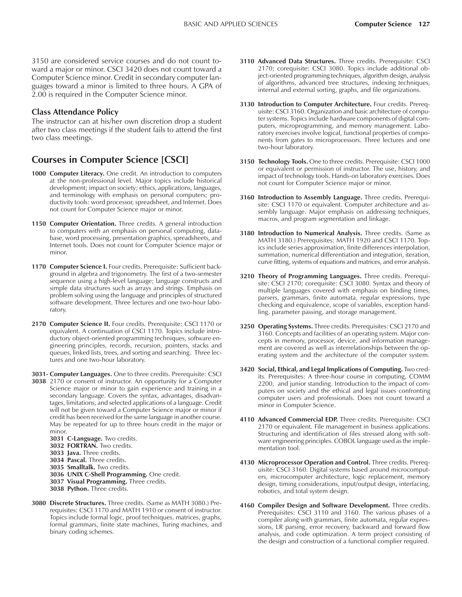3150 are considered service courses and do not count toward a major or minor. CSCI 3420 does not count toward a Computer Science minor. Credit in secondary computer languages toward a minor is limited to three hours. A GPA of 2.00 is required in the Computer Science minor.

#### **Class Attendance Policy**

The instructor can at his/her own discretion drop a student after two class meetings if the student fails to attend the first two class meetings.

# **Courses in Computer Science [CSCI]**

- **1000 Computer Literacy.** One credit. An introduction to computers at the non-professional level. Major topics include historical development; impact on society; ethics, applications, languages, and terminology with emphasis on personal computers; productivity tools: word processor, spreadsheet, and Internet. Does not count for Computer Science major or minor.
- **1150 Computer Orientation.** Three credits. A general introduction to computers with an emphasis on personal computing, database, word processing, presentation graphics, spreadsheets, and Internet tools. Does not count for Computer Science major or minor.
- **1170 Computer Science I.** Four credits. Prerequisite: Sufficient background in algebra and trigonometry. The first of a two-semester sequence using a high-level language; language constructs and simple data structures such as arrays and strings. Emphasis on problem solving using the language and principles of structured software development. Three lectures and one two-hour laboratory.
- **2170 Computer Science II.** Four credits. Prerequisite: CSCI 1170 or equivalent. A continuation of CSCI 1170. Topics include introductory object-oriented programming techniques, software engineering principles, records, recursion, pointers, stacks and queues, linked lists, trees, and sorting and searching. Three lectures and one two-hour laboratory.
- **3031- Computer Languages.** One to three credits. Prerequisite: CSCI
- **3038** 2170 or consent of instructor. An opportunity for a Computer Science major or minor to gain experience and training in a secondary language. Covers the syntax, advantages, disadvantages, limitations, and selected applications of a language. Credit will not be given toward a Computer Science major or minor if credit has been received for the same language in another course. May be repeated for up to three hours credit in the major or minor.
	- **3031 C-Language.** Two credits.
	- **3032 FORTRAN.** Two credits.
	- **3033 Java.** Three credits.
	- **3034 Pascal.** Three credits.
	- **3035 Smalltalk.** Two credits.
	- **3036 UNIX C-Shell Programming.** One credit.
	- **3037 Visual Programming.** Three credits.
	- **3038 Python.** Three credits.
- **3080 Discrete Structures.** Three credits. (Same as MATH 3080.) Prerequisites: CSCI 1170 and MATH 1910 or consent of instructor. Topics include formal logic, proof techniques, matrices, graphs, formal grammars, finite state machines, Turing machines, and binary coding schemes.
- **3110 Advanced Data Structures.** Three credits. Prerequisite: CSCI 2170; corequisite: CSCI 3080. Topics include additional object-oriented programming techniques, algorithm design, analysis of algorithms, advanced tree structures, indexing techniques, internal and external sorting, graphs, and file organizations.
- **3130 Introduction to Computer Architecture.** Four credits. Prerequisite: CSCI 3160. Organization and basic architecture of computer systems. Topics include hardware components of digital computers, microprogramming, and memory management. Laboratory exercises involve logical, functional properties of components from gates to microprocessors. Three lectures and one two-hour laboratory.
- **3150 Technology Tools.** One to three credits. Prerequisite: CSCI 1000 or equivalent or permission of instructor. The use, history, and impact of technology tools. Hands-on laboratory exercises. Does not count for Computer Science major or minor.
- **3160 Introduction to Assembly Language.** Three credits. Prerequisite: CSCI 1170 or equivalent. Computer architecture and assembly language. Major emphasis on addressing techniques, macros, and program segmentation and linkage.
- **3180 Introduction to Numerical Analysis.** Three credits. (Same as MATH 3180.) Prerequisites: MATH 1920 and CSCI 1170. Topics include series approximation, finite differences interpolation, summation, numerical differentiation and integration, iteration, curve fitting, systems of equations and matrices, and error analysis.
- **3210 Theory of Programming Languages.** Three credits. Prerequisite: CSCI 2170; corequisite: CSCI 3080. Syntax and theory of multiple languages covered with emphasis on binding times, parsers, grammars, finite automata, regular expressions, type checking and equivalence, scope of variables, exception handling, parameter passing, and storage management.
- **3250 Operating Systems.** Three credits. Prerequisites: CSCI 2170 and 3160. Concepts and facilities of an operating system. Major concepts in memory, processor, device, and information management are covered as well as interrelationships between the operating system and the architecture of the computer system.
- **3420 Social, Ethical, and Legal Implications of Computing.** Two credits. Prerequisites: A three-hour course in computing, COMM 2200, and junior standing. Introduction to the impact of computers on society and the ethical and legal issues confronting computer users and professionals. Does not count toward a minor in Computer Science.
- **4110 Advanced Commercial EDP.** Three credits. Prerequisite: CSCI 2170 or equivalent. File management in business applications. Structuring and identification of files stressed along with software engineering principles. COBOL language used as the implementation tool.
- **4130 Microprocessor Operation and Control.** Three credits. Prerequisite: CSCI 3160. Digital systems based around microcomputers, microcomputer architecture, logic replacement, memory design, timing considerations, input/output design, interfacing, robotics, and total system design.
- **4160 Compiler Design and Software Development.** Three credits. Prerequisites: CSCI 3110 and 3160. The various phases of a compiler along with grammars, finite automata, regular expressions, LR parsing, error recovery, backward and forward flow analysis, and code optimization. A term project consisting of the design and construction of a functional complier required.